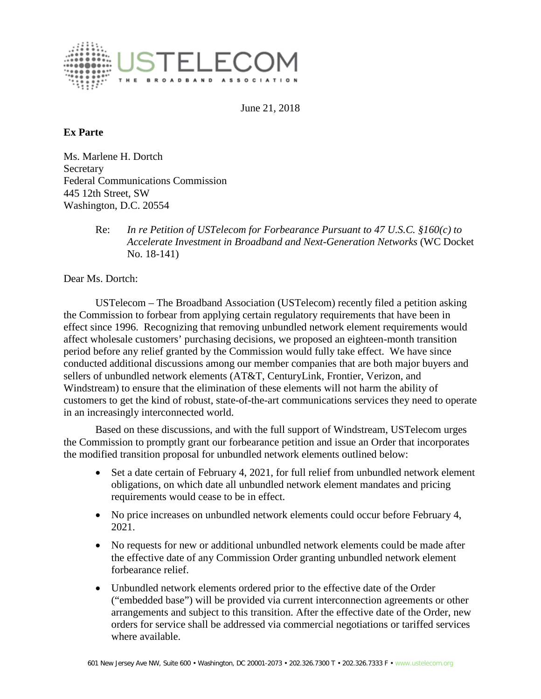

June 21, 2018

## **Ex Parte**

Ms. Marlene H. Dortch Secretary Federal Communications Commission 445 12th Street, SW Washington, D.C. 20554

> Re: *In re Petition of USTelecom for Forbearance Pursuant to 47 U.S.C. §160(c) to Accelerate Investment in Broadband and Next-Generation Networks* (WC Docket No. 18-141)

Dear Ms. Dortch:

USTelecom – The Broadband Association (USTelecom) recently filed a petition asking the Commission to forbear from applying certain regulatory requirements that have been in effect since 1996. Recognizing that removing unbundled network element requirements would affect wholesale customers' purchasing decisions, we proposed an eighteen-month transition period before any relief granted by the Commission would fully take effect. We have since conducted additional discussions among our member companies that are both major buyers and sellers of unbundled network elements (AT&T, CenturyLink, Frontier, Verizon, and Windstream) to ensure that the elimination of these elements will not harm the ability of customers to get the kind of robust, state-of-the-art communications services they need to operate in an increasingly interconnected world.

Based on these discussions, and with the full support of Windstream, USTelecom urges the Commission to promptly grant our forbearance petition and issue an Order that incorporates the modified transition proposal for unbundled network elements outlined below:

- Set a date certain of February 4, 2021, for full relief from unbundled network element obligations, on which date all unbundled network element mandates and pricing requirements would cease to be in effect.
- No price increases on unbundled network elements could occur before February 4, 2021.
- No requests for new or additional unbundled network elements could be made after the effective date of any Commission Order granting unbundled network element forbearance relief.
- Unbundled network elements ordered prior to the effective date of the Order ("embedded base") will be provided via current interconnection agreements or other arrangements and subject to this transition. After the effective date of the Order, new orders for service shall be addressed via commercial negotiations or tariffed services where available.